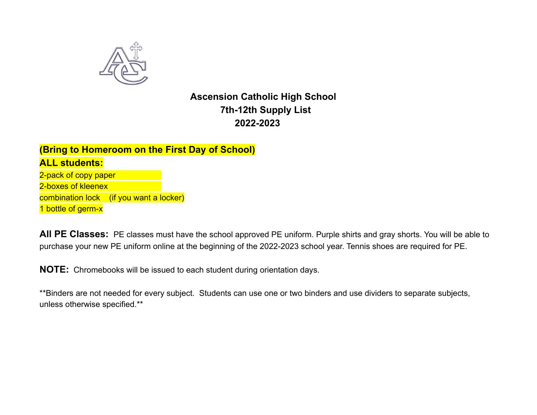

# **Ascension Catholic High School 7th-12th Supply List 2022-2023**

### **(Bring to Homeroom on the First Day of School) ALL students:** 2-pack of copy paper 2-boxes of kleenex combination lock (if you want a locker)

1 bottle of germ-x

**All PE Classes:** PE classes must have the school approved PE uniform. Purple shirts and gray shorts. You will be able to purchase your new PE uniform online at the beginning of the 2022-2023 school year. Tennis shoes are required for PE.

**NOTE:** Chromebooks will be issued to each student during orientation days.

\*\*Binders are not needed for every subject. Students can use one or two binders and use dividers to separate subjects, unless otherwise specified.\*\*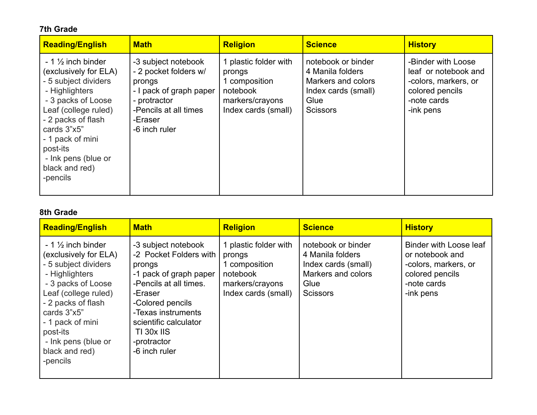### **7th Grade**

| <b>Reading/English</b>                                                                                                                                                                                                                                                 | <b>Math</b>                                                                                                                                            | <b>Religion</b>                                                                                        | <b>Science</b>                                                                                                 | <b>History</b>                                                                                                    |
|------------------------------------------------------------------------------------------------------------------------------------------------------------------------------------------------------------------------------------------------------------------------|--------------------------------------------------------------------------------------------------------------------------------------------------------|--------------------------------------------------------------------------------------------------------|----------------------------------------------------------------------------------------------------------------|-------------------------------------------------------------------------------------------------------------------|
| $-1\frac{1}{2}$ inch binder<br>(exclusively for ELA)<br>- 5 subject dividers<br>- Highlighters<br>- 3 packs of Loose<br>Leaf (college ruled)<br>- 2 packs of flash<br>cards 3"x5"<br>- 1 pack of mini<br>post-its<br>- Ink pens (blue or<br>black and red)<br>-pencils | -3 subject notebook<br>- 2 pocket folders w/<br>prongs<br>- I pack of graph paper<br>- protractor<br>-Pencils at all times<br>-Eraser<br>-6 inch ruler | 1 plastic folder with<br>prongs<br>1 composition<br>notebook<br>markers/crayons<br>Index cards (small) | notebook or binder<br>4 Manila folders<br>Markers and colors<br>Index cards (small)<br>Glue<br><b>Scissors</b> | -Binder with Loose<br>leaf or notebook and<br>-colors, markers, or<br>colored pencils<br>-note cards<br>-ink pens |

#### **8th Grade**

| <b>Reading/English</b>                                                                                                                                                                                                                                                 | <b>Math</b>                                                                                                                                                                                                                             | <b>Religion</b>                                                                                        | <b>Science</b>                                                                                                 | <b>History</b>                                                                                                   |
|------------------------------------------------------------------------------------------------------------------------------------------------------------------------------------------------------------------------------------------------------------------------|-----------------------------------------------------------------------------------------------------------------------------------------------------------------------------------------------------------------------------------------|--------------------------------------------------------------------------------------------------------|----------------------------------------------------------------------------------------------------------------|------------------------------------------------------------------------------------------------------------------|
| $-1\frac{1}{2}$ inch binder<br>(exclusively for ELA)<br>- 5 subject dividers<br>- Highlighters<br>- 3 packs of Loose<br>Leaf (college ruled)<br>- 2 packs of flash<br>cards 3"x5"<br>- 1 pack of mini<br>post-its<br>- Ink pens (blue or<br>black and red)<br>-pencils | -3 subject notebook<br>-2 Pocket Folders with<br>prongs<br>-1 pack of graph paper<br>-Pencils at all times.<br>-Eraser<br>-Colored pencils<br>-Texas instruments<br>scientific calculator<br>TI 30x IIS<br>-protractor<br>-6 inch ruler | 1 plastic folder with<br>prongs<br>1 composition<br>notebook<br>markers/crayons<br>Index cards (small) | notebook or binder<br>4 Manila folders<br>Index cards (small)<br>Markers and colors<br>Glue<br><b>Scissors</b> | Binder with Loose leaf<br>or notebook and<br>-colors, markers, or<br>colored pencils<br>-note cards<br>-ink pens |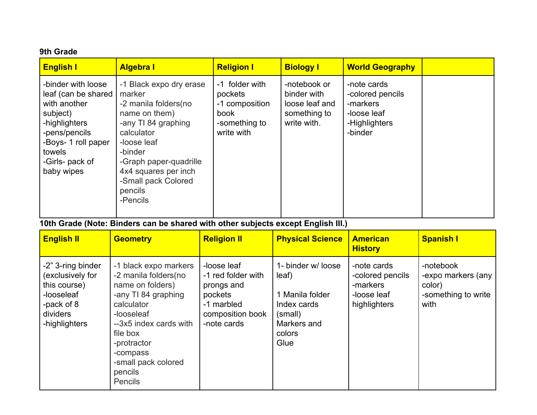#### **9th Grade**

| <b>English I</b>                                                                                                                                                          | <b>Algebra I</b>                                                                                                                                                                                                                           | <b>Religion I</b>                                                                  | <b>Biology I</b>                                                             | <b>World Geography</b>                                                                 |  |
|---------------------------------------------------------------------------------------------------------------------------------------------------------------------------|--------------------------------------------------------------------------------------------------------------------------------------------------------------------------------------------------------------------------------------------|------------------------------------------------------------------------------------|------------------------------------------------------------------------------|----------------------------------------------------------------------------------------|--|
| -binder with loose<br>leaf (can be shared<br>with another<br>subject)<br>-highlighters<br>-pens/pencils<br>-Boys- 1 roll paper<br>towels<br>-Girls- pack of<br>baby wipes | -1 Black expo dry erase<br>marker<br>-2 manila folders (no<br>name on them)<br>-any TI 84 graphing<br>calculator<br>-loose leaf<br>-binder<br>-Graph paper-quadrille<br>4x4 squares per inch<br>-Small pack Colored<br>pencils<br>-Pencils | -1 folder with<br>pockets<br>-1 composition<br>book<br>-something to<br>write with | -notebook or<br>binder with<br>loose leaf and<br>something to<br>write with. | -note cards<br>-colored pencils<br>-markers<br>-loose leaf<br>-Highlighters<br>-binder |  |

**10th Grade (Note: Binders can be shared with other subjects except English III.)**

| <b>English II</b>                                                                                              | <b>Geometry</b>                                                                                                                                                                                                                    | <b>Religion II</b>                                                                                          | <b>Physical Science</b>                                                                                   | <b>American</b><br><b>History</b>                                          | <b>Spanish I</b>                                                         |
|----------------------------------------------------------------------------------------------------------------|------------------------------------------------------------------------------------------------------------------------------------------------------------------------------------------------------------------------------------|-------------------------------------------------------------------------------------------------------------|-----------------------------------------------------------------------------------------------------------|----------------------------------------------------------------------------|--------------------------------------------------------------------------|
| -2" 3-ring binder<br>(exclusively for<br>this course)<br>-looseleaf<br>-pack of 8<br>dividers<br>-highlighters | -1 black expo markers<br>-2 manila folders(no<br>name on folders)<br>-any TI 84 graphing<br>calculator<br>-looseleaf<br>--3x5 index cards with<br>file box<br>-protractor<br>-compass<br>-small pack colored<br>pencils<br>Pencils | -loose leaf<br>-1 red folder with<br>prongs and<br>pockets<br>-1 marbled<br>composition book<br>-note cards | 1- binder w/ loose<br>leaf)<br>1 Manila folder<br>Index cards<br>(small)<br>Markers and<br>colors<br>Glue | -note cards<br>-colored pencils<br>-markers<br>-loose leaf<br>highlighters | -notebook<br>-expo markers (any<br>color)<br>-something to write<br>with |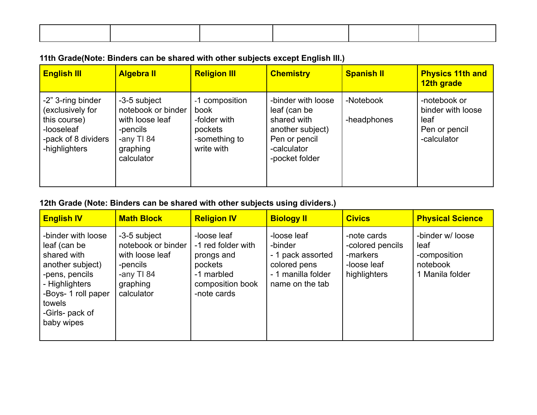## **11th Grade(Note: Binders can be shared with other subjects except English III.)**

| <b>English III</b>                                                                                          | <b>Algebra II</b>                                                                                         | <b>Religion III</b>                                                              | <b>Chemistry</b>                                                                                                        | <b>Spanish II</b>        | <b>Physics 11th and</b><br>12th grade                                     |
|-------------------------------------------------------------------------------------------------------------|-----------------------------------------------------------------------------------------------------------|----------------------------------------------------------------------------------|-------------------------------------------------------------------------------------------------------------------------|--------------------------|---------------------------------------------------------------------------|
| -2" 3-ring binder<br>(exclusively for<br>this course)<br>-looseleaf<br>-pack of 8 dividers<br>-highlighters | -3-5 subject<br>notebook or binder<br>with loose leaf<br>-pencils<br>-any TI 84<br>graphing<br>calculator | -1 composition<br>book<br>-folder with<br>pockets<br>-something to<br>write with | -binder with loose<br>leaf (can be<br>shared with<br>another subject)<br>Pen or pencil<br>-calculator<br>-pocket folder | -Notebook<br>-headphones | -notebook or<br>binder with loose<br>leaf<br>Pen or pencil<br>-calculator |

## **12th Grade (Note: Binders can be shared with other subjects using dividers.)**

| <b>English IV</b>                                                                                                                                                           | <b>Math Block</b>                                                                                          | <b>Religion IV</b>                                                                                          | <b>Biology II</b>                                                                                    | <b>Civics</b>                                                              | <b>Physical Science</b>                                                 |
|-----------------------------------------------------------------------------------------------------------------------------------------------------------------------------|------------------------------------------------------------------------------------------------------------|-------------------------------------------------------------------------------------------------------------|------------------------------------------------------------------------------------------------------|----------------------------------------------------------------------------|-------------------------------------------------------------------------|
| -binder with loose<br>leaf (can be<br>shared with<br>another subject)<br>-pens, pencils<br>- Highlighters<br>-Boys- 1 roll paper<br>towels<br>-Girls- pack of<br>baby wipes | -3-5 subject<br>notebook or binder<br>with loose leaf<br>-pencils<br>-any $T184$<br>graphing<br>calculator | -loose leaf<br>-1 red folder with<br>prongs and<br>pockets<br>-1 marbled<br>composition book<br>-note cards | -loose leaf<br>-binder<br>- 1 pack assorted<br>colored pens<br>- 1 manilla folder<br>name on the tab | -note cards<br>-colored pencils<br>-markers<br>-loose leaf<br>highlighters | -binder w/ loose<br>leaf<br>-composition<br>notebook<br>1 Manila folder |